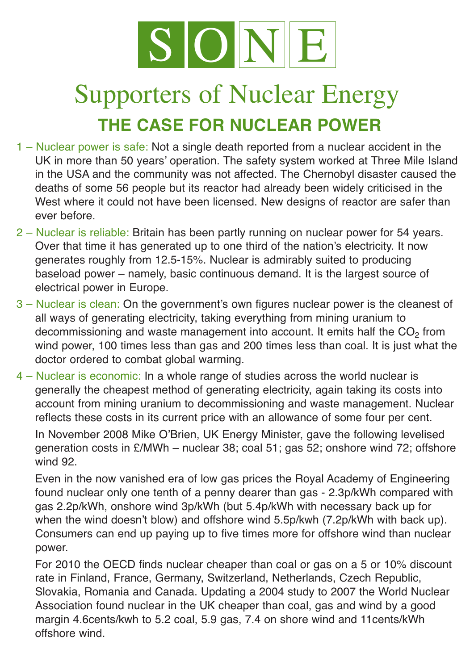

## Supporters of Nuclear Energy **THE CASE FOR NUCLEAR POWER**

- 1 Nuclear power is safe: Not a single death reported from a nuclear accident in the UK in more than 50 years' operation. The safety system worked at Three Mile Island in the USA and the community was not affected. The Chernobyl disaster caused the deaths of some 56 people but its reactor had already been widely criticised in the West where it could not have been licensed. New designs of reactor are safer than ever before.
- 2 Nuclear is reliable: Britain has been partly running on nuclear power for 54 years. Over that time it has generated up to one third of the nation's electricity. It now generates roughly from 12.5-15%. Nuclear is admirably suited to producing baseload power – namely, basic continuous demand. It is the largest source of electrical power in Europe.
- 3 Nuclear is clean: On the government's own figures nuclear power is the cleanest of all ways of generating electricity, taking everything from mining uranium to decommissioning and waste management into account. It emits half the  $CO<sub>2</sub>$  from wind power, 100 times less than gas and 200 times less than coal. It is just what the doctor ordered to combat global warming.
- 4 Nuclear is economic: In a whole range of studies across the world nuclear is generally the cheapest method of generating electricity, again taking its costs into account from mining uranium to decommissioning and waste management. Nuclear reflects these costs in its current price with an allowance of some four per cent.

In November 2008 Mike O'Brien, UK Energy Minister, gave the following levelised generation costs in £/MWh – nuclear 38; coal 51; gas 52; onshore wind 72; offshore wind 92.

Even in the now vanished era of low gas prices the Royal Academy of Engineering found nuclear only one tenth of a penny dearer than gas - 2.3p/kWh compared with gas 2.2p/kWh, onshore wind 3p/kWh (but 5.4p/kWh with necessary back up for when the wind doesn't blow) and offshore wind 5.5p/kwh (7.2p/kWh with back up). Consumers can end up paying up to five times more for offshore wind than nuclear power.

For 2010 the OECD finds nuclear cheaper than coal or gas on a 5 or 10% discount rate in Finland, France, Germany, Switzerland, Netherlands, Czech Republic, Slovakia, Romania and Canada. Updating a 2004 study to 2007 the World Nuclear Association found nuclear in the UK cheaper than coal, gas and wind by a good margin 4.6cents/kwh to 5.2 coal, 5.9 gas, 7.4 on shore wind and 11cents/kWh offshore wind.